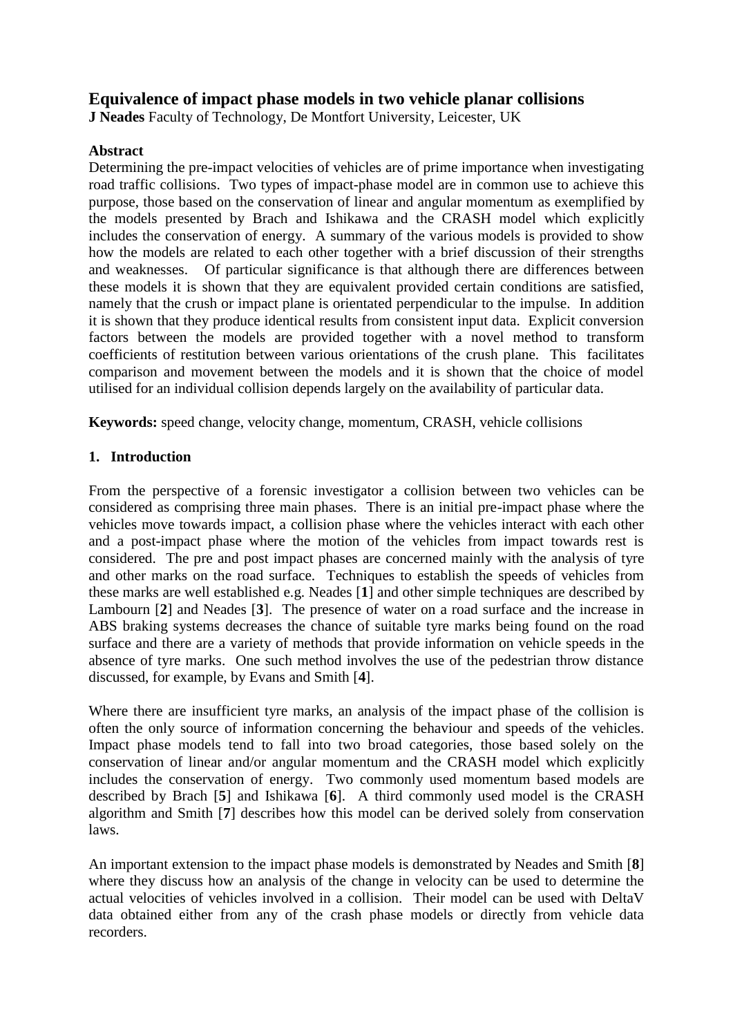## **Equivalence of impact phase models in two vehicle planar collisions**

**J Neades** Faculty of Technology, De Montfort University, Leicester, UK

## **Abstract**

Determining the pre-impact velocities of vehicles are of prime importance when investigating road traffic collisions. Two types of impact-phase model are in common use to achieve this purpose, those based on the conservation of linear and angular momentum as exemplified by the models presented by Brach and Ishikawa and the CRASH model which explicitly includes the conservation of energy. A summary of the various models is provided to show how the models are related to each other together with a brief discussion of their strengths and weaknesses. Of particular significance is that although there are differences between these models it is shown that they are equivalent provided certain conditions are satisfied, namely that the crush or impact plane is orientated perpendicular to the impulse. In addition it is shown that they produce identical results from consistent input data. Explicit conversion factors between the models are provided together with a novel method to transform coefficients of restitution between various orientations of the crush plane. This facilitates comparison and movement between the models and it is shown that the choice of model utilised for an individual collision depends largely on the availability of particular data.

**Keywords:** speed change, velocity change, momentum, CRASH, vehicle collisions

## **1. Introduction**

From the perspective of a forensic investigator a collision between two vehicles can be considered as comprising three main phases. There is an initial pre-impact phase where the vehicles move towards impact, a collision phase where the vehicles interact with each other and a post-impact phase where the motion of the vehicles from impact towards rest is considered. The pre and post impact phases are concerned mainly with the analysis of tyre and other marks on the road surface. Techniques to establish the speeds of vehicles from these marks are well established e.g. Neades [**1**] and other simple techniques are described by Lambourn [**2**] and Neades [**3**]. The presence of water on a road surface and the increase in ABS braking systems decreases the chance of suitable tyre marks being found on the road surface and there are a variety of methods that provide information on vehicle speeds in the absence of tyre marks. One such method involves the use of the pedestrian throw distance discussed, for example, by Evans and Smith [**4**].

Where there are insufficient tyre marks, an analysis of the impact phase of the collision is often the only source of information concerning the behaviour and speeds of the vehicles. Impact phase models tend to fall into two broad categories, those based solely on the conservation of linear and/or angular momentum and the CRASH model which explicitly includes the conservation of energy. Two commonly used momentum based models are described by Brach [**5**] and Ishikawa [**6**]. A third commonly used model is the CRASH algorithm and Smith [**7**] describes how this model can be derived solely from conservation laws.

An important extension to the impact phase models is demonstrated by Neades and Smith [**8**] where they discuss how an analysis of the change in velocity can be used to determine the actual velocities of vehicles involved in a collision. Their model can be used with DeltaV data obtained either from any of the crash phase models or directly from vehicle data recorders.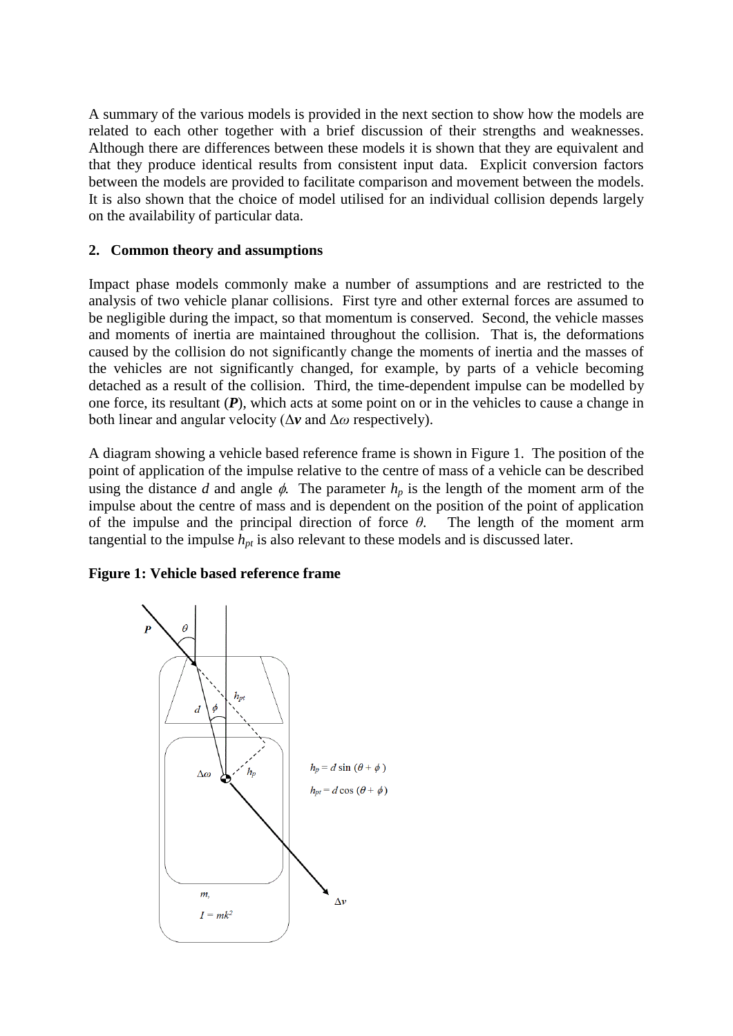A summary of the various models is provided in the next section to show how the models are related to each other together with a brief discussion of their strengths and weaknesses. Although there are differences between these models it is shown that they are equivalent and that they produce identical results from consistent input data. Explicit conversion factors between the models are provided to facilitate comparison and movement between the models. It is also shown that the choice of model utilised for an individual collision depends largely on the availability of particular data.

## **2. Common theory and assumptions**

Impact phase models commonly make a number of assumptions and are restricted to the analysis of two vehicle planar collisions. First tyre and other external forces are assumed to be negligible during the impact, so that momentum is conserved. Second, the vehicle masses and moments of inertia are maintained throughout the collision. That is, the deformations caused by the collision do not significantly change the moments of inertia and the masses of the vehicles are not significantly changed, for example, by parts of a vehicle becoming detached as a result of the collision. Third, the time-dependent impulse can be modelled by one force, its resultant (*P*), which acts at some point on or in the vehicles to cause a change in both linear and angular velocity (Δ*v* and Δ*ω* respectively).

A diagram showing a vehicle based reference frame is shown in Figure 1. The position of the point of application of the impulse relative to the centre of mass of a vehicle can be described using the distance *d* and angle  $\phi$ . The parameter  $h_p$  is the length of the moment arm of the impulse about the centre of mass and is dependent on the position of the point of application of the impulse and the principal direction of force *θ*. The length of the moment arm tangential to the impulse  $h_{pt}$  is also relevant to these models and is discussed later.

## **Figure 1: Vehicle based reference frame**

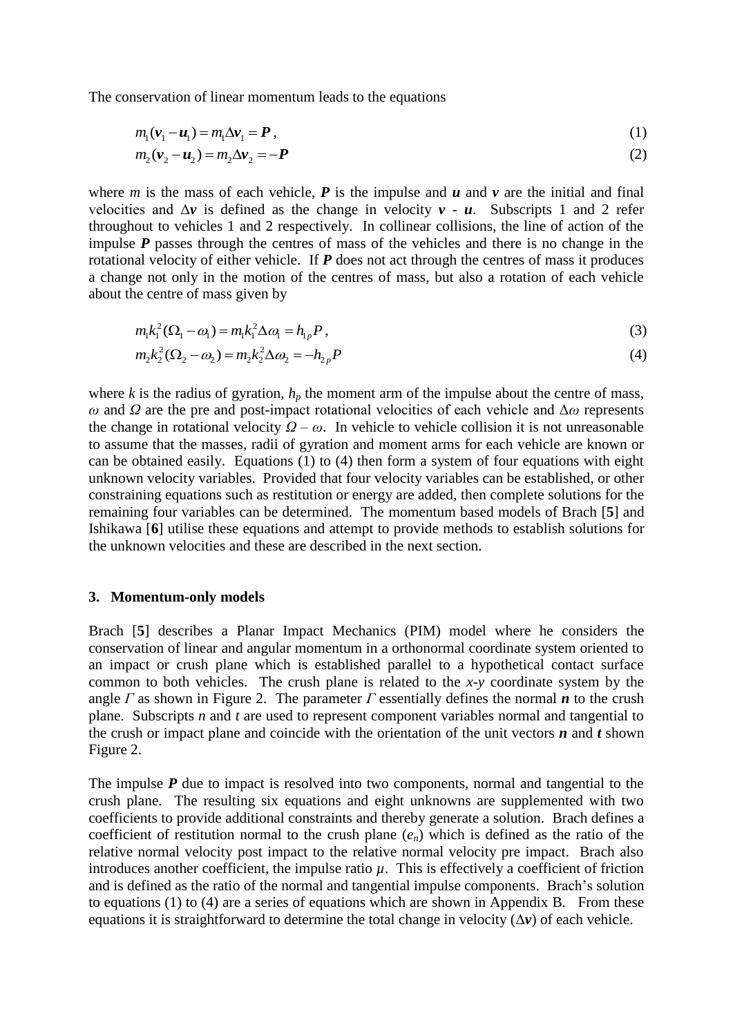The conservation of linear momentum leads to the equations

$$
m_1(\mathbf{v}_1 - \mathbf{u}_1) = m_1 \Delta \mathbf{v}_1 = \mathbf{P},
$$
\n(1)

$$
m_1(v_1 - u_1) - m_2 \Delta v_2 = -P
$$
 (2)

where *m* is the mass of each vehicle,  $P$  is the impulse and  $u$  and  $v$  are the initial and final velocities and  $\Delta v$  is defined as the change in velocity  $v - u$ . Subscripts 1 and 2 refer throughout to vehicles 1 and 2 respectively. In collinear collisions, the line of action of the impulse *P* passes through the centres of mass of the vehicles and there is no change in the rotational velocity of either vehicle. If *P* does not act through the centres of mass it produces a change not only in the motion of the centres of mass, but also a rotation of each vehicle about the centre of mass given by

$$
m_1 k_1^2 (\Omega_1 - \omega_1) = m_1 k_1^2 \Delta \omega_1 = h_{1p} P, \qquad (3)
$$

$$
m_1k_1 (S_1 - \omega_1) = m_1k_1 \Delta \omega_1 = n_{1p}P,
$$
  
\n
$$
m_2k_2 (S_2 - \omega_2) = m_2k_2 \Delta \omega_2 = -h_{2p}P
$$
\n(4)

where  $k$  is the radius of gyration,  $h_p$  the moment arm of the impulse about the centre of mass, *ω* and *Ω* are the pre and post-impact rotational velocities of each vehicle and Δ*ω* represents the change in rotational velocity  $Q - \omega$ . In vehicle to vehicle collision it is not unreasonable to assume that the masses, radii of gyration and moment arms for each vehicle are known or can be obtained easily. Equations (1) to (4) then form a system of four equations with eight unknown velocity variables. Provided that four velocity variables can be established, or other constraining equations such as restitution or energy are added, then complete solutions for the remaining four variables can be determined. The momentum based models of Brach [**5**] and Ishikawa [**6**] utilise these equations and attempt to provide methods to establish solutions for the unknown velocities and these are described in the next section.

#### **3. Momentum-only models**

Brach [**5**] describes a Planar Impact Mechanics (PIM) model where he considers the conservation of linear and angular momentum in a orthonormal coordinate system oriented to an impact or crush plane which is established parallel to a hypothetical contact surface common to both vehicles. The crush plane is related to the *x-y* coordinate system by the angle *Γ* as shown in Figure 2. The parameter *Γ* essentially defines the normal *n* to the crush plane. Subscripts *n* and *t* are used to represent component variables normal and tangential to the crush or impact plane and coincide with the orientation of the unit vectors  $\boldsymbol{n}$  and  $\boldsymbol{t}$  shown Figure 2.

The impulse *P* due to impact is resolved into two components, normal and tangential to the crush plane. The resulting six equations and eight unknowns are supplemented with two coefficients to provide additional constraints and thereby generate a solution. Brach defines a coefficient of restitution normal to the crush plane (*en*) which is defined as the ratio of the relative normal velocity post impact to the relative normal velocity pre impact. Brach also introduces another coefficient, the impulse ratio  $\mu$ . This is effectively a coefficient of friction and is defined as the ratio of the normal and tangential impulse components. Brach's solution to equations (1) to (4) are a series of equations which are shown in Appendix B. From these equations it is straightforward to determine the total change in velocity  $(\Delta v)$  of each vehicle.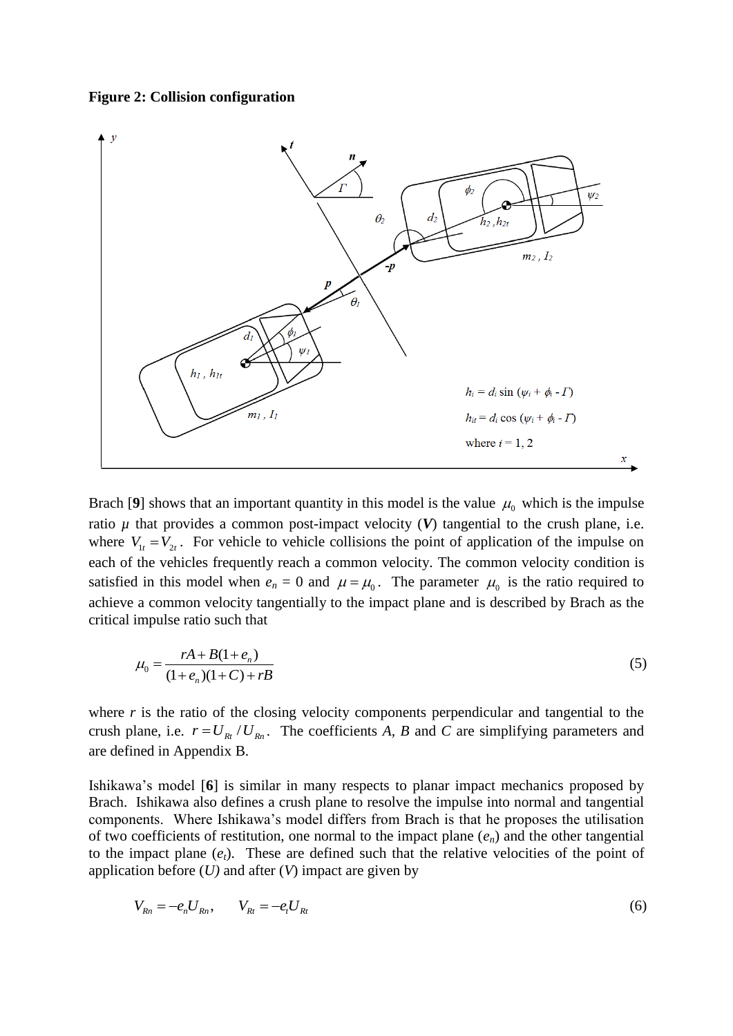#### **Figure 2: Collision configuration**



Brach [9] shows that an important quantity in this model is the value  $\mu_0$  which is the impulse ratio  $\mu$  that provides a common post-impact velocity  $(V)$  tangential to the crush plane, i.e. where  $V_{1t} = V_{2t}$ . For vehicle to vehicle collisions the point of application of the impulse on each of the vehicles frequently reach a common velocity. The common velocity condition is satisfied in this model when  $e_n = 0$  and  $\mu = \mu_0$ . The parameter  $\mu_0$  is the ratio required to achieve a common velocity tangentially to the impact plane and is described by Brach as the critical impulse ratio such that

$$
\mu_0 = \frac{rA + B(1 + e_n)}{(1 + e_n)(1 + C) + rB}
$$
\n(5)

where *r* is the ratio of the closing velocity components perpendicular and tangential to the crush plane, i.e.  $r = U_{Rt} / U_{Rn}$ . The coefficients *A*, *B* and *C* are simplifying parameters and are defined in Appendix B.

Ishikawa's model [**6**] is similar in many respects to planar impact mechanics proposed by Brach. Ishikawa also defines a crush plane to resolve the impulse into normal and tangential components. Where Ishikawa's model differs from Brach is that he proposes the utilisation of two coefficients of restitution, one normal to the impact plane  $(e_n)$  and the other tangential to the impact plane  $(e_t)$ . These are defined such that the relative velocities of the point of application before (*U)* and after (*V*) impact are given by

$$
V_{Rn} = -e_n U_{Rn}, \qquad V_{Rt} = -e_t U_{Rt}
$$
 (6)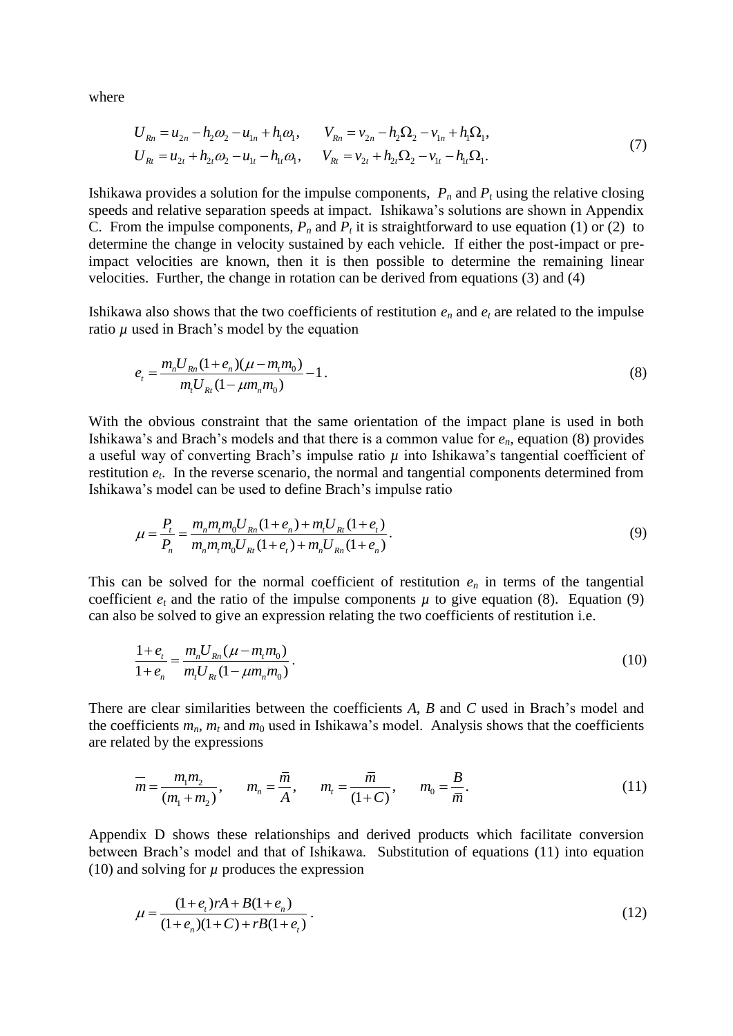where

$$
U_{Rn} = u_{2n} - h_2 \omega_2 - u_{1n} + h_1 \omega_1, \qquad V_{Rn} = v_{2n} - h_2 \Omega_2 - v_{1n} + h_1 \Omega_1,
$$
  
\n
$$
U_{Rt} = u_{2t} + h_{2t} \omega_2 - u_{1t} - h_{1t} \omega_1, \qquad V_{Rt} = v_{2t} + h_{2t} \Omega_2 - v_{1t} - h_{1t} \Omega_1.
$$
\n(7)

Ishikawa provides a solution for the impulse components, *P<sup>n</sup>* and *P<sup>t</sup>* using the relative closing speeds and relative separation speeds at impact. Ishikawa's solutions are shown in Appendix C. From the impulse components,  $P_n$  and  $P_t$  it is straightforward to use equation (1) or (2) to determine the change in velocity sustained by each vehicle. If either the post-impact or preimpact velocities are known, then it is then possible to determine the remaining linear velocities. Further, the change in rotation can be derived from equations (3) and (4)

Ishikawa also shows that the two coefficients of restitution  $e_n$  and  $e_t$  are related to the impulse ratio  $\mu$  used in Brach's model by the equation

$$
e_{t} = \frac{m_{n}U_{Rn}(1+e_{n})(\mu-m_{t}m_{0})}{m_{t}U_{Rt}(1-\mu m_{n}m_{0})} - 1.
$$
\n(8)

With the obvious constraint that the same orientation of the impact plane is used in both Ishikawa's and Brach's models and that there is a common value for *en*, equation (8) provides a useful way of converting Brach's impulse ratio  $\mu$  into Ishikawa's tangential coefficient of restitution *e<sup>t</sup>* . In the reverse scenario, the normal and tangential components determined from Ishikawa's model can be used to define Brach's impulse ratio

$$
\mu = \frac{P_t}{P_n} = \frac{m_n m_t m_0 U_{Rn} (1 + e_n) + m_t U_{Rt} (1 + e_t)}{m_n m_t m_0 U_{Rt} (1 + e_t) + m_n U_{Rn} (1 + e_n)}.
$$
\n(9)

This can be solved for the normal coefficient of restitution  $e_n$  in terms of the tangential coefficient  $e_t$  and the ratio of the impulse components  $\mu$  to give equation (8). Equation (9) can also be solved to give an expression relating the two coefficients of restitution i.e.

$$
\frac{1+e_t}{1+e_n} = \frac{m_n U_{Rn}(\mu - m_t m_0)}{m_t U_{Rt} (1 - \mu m_n m_0)}.
$$
\n(10)

There are clear similarities between the coefficients *A*, *B* and *C* used in Brach's model and the coefficients  $m_n$ ,  $m_t$  and  $m_0$  used in Ishikawa's model. Analysis shows that the coefficients are related by the expressions

ted by the expressions  
\n
$$
\overline{m} = \frac{m_1 m_2}{(m_1 + m_2)}, \qquad m_n = \frac{\overline{m}}{\overline{A}}, \qquad m_t = \frac{\overline{m}}{(1+C)}, \qquad m_0 = \frac{B}{\overline{m}}.
$$
\n(11)

Appendix D shows these relationships and derived products which facilitate conversion between Brach's model and that of Ishikawa. Substitution of equations (11) into equation (10) and solving for  $\mu$  produces the expression

$$
\mu = \frac{(1 + e_t)rA + B(1 + e_n)}{(1 + e_n)(1 + C) + rB(1 + e_t)}.
$$
\n(12)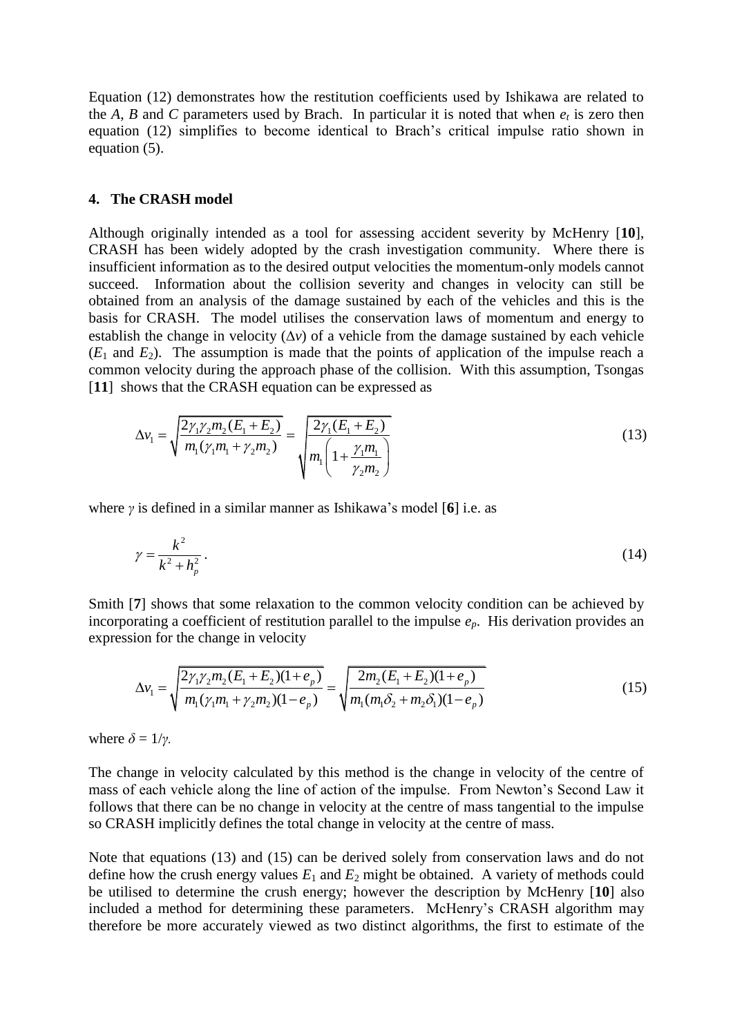Equation (12) demonstrates how the restitution coefficients used by Ishikawa are related to the *A*, *B* and *C* parameters used by Brach. In particular it is noted that when  $e_t$  is zero then equation (12) simplifies to become identical to Brach's critical impulse ratio shown in equation (5).

#### **4. The CRASH model**

Although originally intended as a tool for assessing accident severity by McHenry [**10**], CRASH has been widely adopted by the crash investigation community. Where there is insufficient information as to the desired output velocities the momentum-only models cannot succeed. Information about the collision severity and changes in velocity can still be obtained from an analysis of the damage sustained by each of the vehicles and this is the basis for CRASH. The model utilises the conservation laws of momentum and energy to establish the change in velocity  $(\Delta v)$  of a vehicle from the damage sustained by each vehicle  $(E_1$  and  $E_2$ ). The assumption is made that the points of application of the impulse reach a common velocity during the approach phase of the collision. With this assumption, Tsongas [**11**] shows that the CRASH equation can be expressed as

$$
\Delta v_1 = \sqrt{\frac{2\gamma_1 \gamma_2 m_2 (E_1 + E_2)}{m_1 (\gamma_1 m_1 + \gamma_2 m_2)}} = \sqrt{\frac{2\gamma_1 (E_1 + E_2)}{m_1 \left(1 + \frac{\gamma_1 m_1}{\gamma_2 m_2}\right)}}
$$
(13)

where *γ* is defined in a similar manner as Ishikawa's model [**6**] i.e. as

$$
\gamma = \frac{k^2}{k^2 + h_p^2} \,. \tag{14}
$$

Smith [**7**] shows that some relaxation to the common velocity condition can be achieved by incorporating a coefficient of restitution parallel to the impulse  $e_p$ . His derivation provides an

expression for the change in velocity  
\n
$$
\Delta v_1 = \sqrt{\frac{2\gamma_1 \gamma_2 m_2 (E_1 + E_2)(1 + e_p)}{m_1 (\gamma_1 m_1 + \gamma_2 m_2)(1 - e_p)}} = \sqrt{\frac{2m_2 (E_1 + E_2)(1 + e_p)}{m_1 (m_1 \delta_2 + m_2 \delta_1)(1 - e_p)}}
$$
\n(15)

where  $\delta = 1/\gamma$ .

The change in velocity calculated by this method is the change in velocity of the centre of mass of each vehicle along the line of action of the impulse. From Newton's Second Law it follows that there can be no change in velocity at the centre of mass tangential to the impulse so CRASH implicitly defines the total change in velocity at the centre of mass.

Note that equations (13) and (15) can be derived solely from conservation laws and do not define how the crush energy values  $E_1$  and  $E_2$  might be obtained. A variety of methods could be utilised to determine the crush energy; however the description by McHenry [**10**] also included a method for determining these parameters. McHenry's CRASH algorithm may therefore be more accurately viewed as two distinct algorithms, the first to estimate of the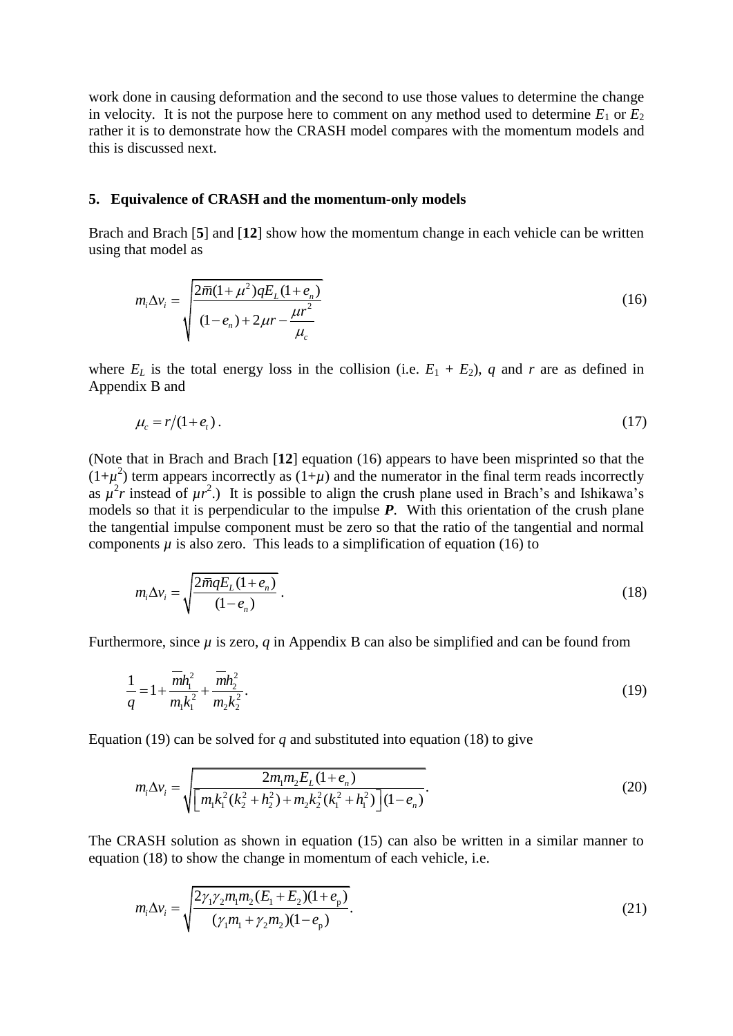work done in causing deformation and the second to use those values to determine the change in velocity. It is not the purpose here to comment on any method used to determine  $E_1$  or  $E_2$ rather it is to demonstrate how the CRASH model compares with the momentum models and this is discussed next.

#### **5. Equivalence of CRASH and the momentum-only models**

Brach and Brach [**5**] and [**12**] show how the momentum change in each vehicle can be written using that model as

$$
m_i \Delta v_i = \sqrt{\frac{2\bar{m}(1+\mu^2)qE_L(1+e_n)}{(1-e_n)+2\mu r - \frac{\mu r^2}{\mu_c}}}
$$
(16)

where  $E_L$  is the total energy loss in the collision (i.e.  $E_1 + E_2$ ), *q* and *r* are as defined in Appendix B and

$$
\mu_c = r/(1 + e_t). \tag{17}
$$

(Note that in Brach and Brach [**12**] equation (16) appears to have been misprinted so that the  $(1+\mu^2)$  term appears incorrectly as  $(1+\mu)$  and the numerator in the final term reads incorrectly as  $\mu^2 r$  instead of  $\mu r^2$ .) It is possible to align the crush plane used in Brach's and Ishikawa's models so that it is perpendicular to the impulse *P*. With this orientation of the crush plane the tangential impulse component must be zero so that the ratio of the tangential and normal components  $\mu$  is also zero. This leads to a simplification of equation (16) to

$$
m_i \Delta v_i = \sqrt{\frac{2\overline{m}qE_L(1+e_n)}{(1-e_n)}}.
$$
\n(18)

Furthermore, since *µ* is zero, *q* in Appendix B can also be simplified and can be found from

$$
\frac{1}{q} = 1 + \frac{\overline{m}h_1^2}{m_1k_1^2} + \frac{\overline{m}h_2^2}{m_2k_2^2}.
$$
\n(19)

Equation (19) can be solved for  $q$  and substituted into equation (18) to give

$$
m_i \Delta v_i = \sqrt{\frac{2m_1m_2E_L(1+e_n)}{[m_1k_1^2(k_2^2+h_2^2)+m_2k_2^2(k_1^2+h_1^2)](1-e_n)}}.
$$
(20)

The CRASH solution as shown in equation (15) can also be written in a similar manner to equation (18) to show the change in momentum of each vehicle, i.e.

$$
m_{i}\Delta v_{i} = \sqrt{\frac{2\gamma_{1}\gamma_{2}m_{1}m_{2}(E_{1} + E_{2})(1 + e_{p})}{(\gamma_{1}m_{1} + \gamma_{2}m_{2})(1 - e_{p})}}.
$$
\n(21)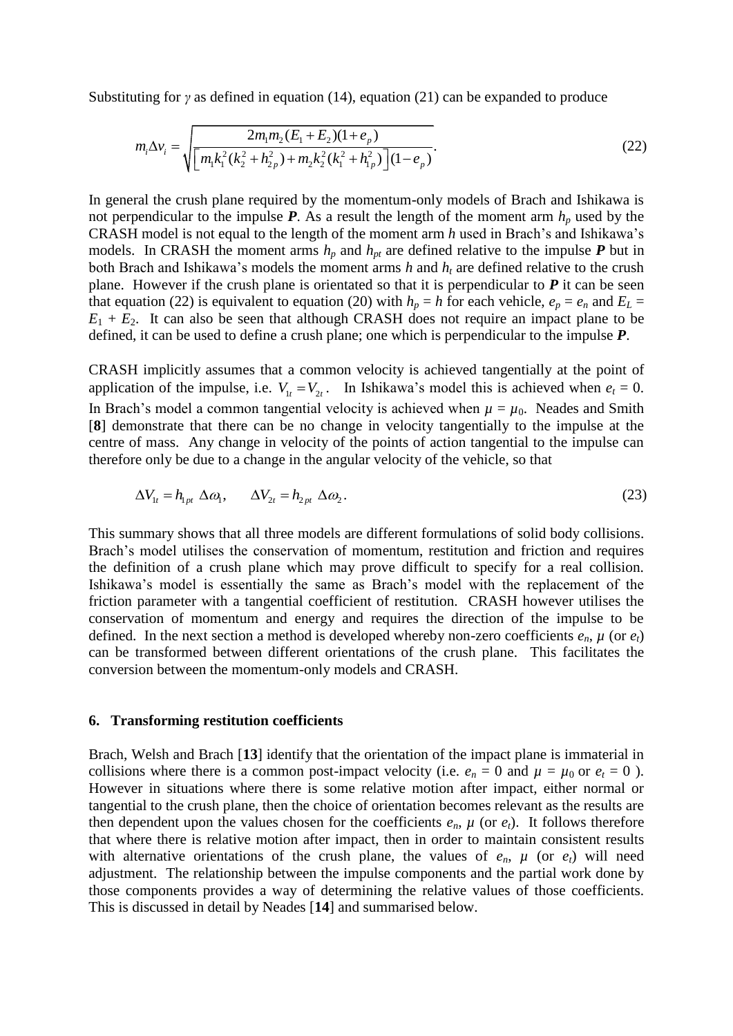Substituting for 
$$
\gamma
$$
 as defined in equation (14), equation (21) can be expanded to produce  
\n
$$
m_i \Delta v_i = \sqrt{\frac{2m_i m_2 (E_1 + E_2)(1 + e_p)}{\left[m_i k_1^2 (k_2^2 + h_{2p}^2) + m_2 k_2^2 (k_1^2 + h_{1p}^2)\right](1 - e_p)}}.
$$
\n(22)

In general the crush plane required by the momentum-only models of Brach and Ishikawa is not perpendicular to the impulse  $P$ . As a result the length of the moment arm  $h_p$  used by the CRASH model is not equal to the length of the moment arm *h* used in Brach's and Ishikawa's models. In CRASH the moment arms  $h_p$  and  $h_{pt}$  are defined relative to the impulse  $P$  but in both Brach and Ishikawa's models the moment arms  $h$  and  $h_t$  are defined relative to the crush plane. However if the crush plane is orientated so that it is perpendicular to *P* it can be seen that equation (22) is equivalent to equation (20) with  $h_p = h$  for each vehicle,  $e_p = e_n$  and  $E_L =$  $E_1 + E_2$ . It can also be seen that although CRASH does not require an impact plane to be defined, it can be used to define a crush plane; one which is perpendicular to the impulse *P*.

CRASH implicitly assumes that a common velocity is achieved tangentially at the point of application of the impulse, i.e.  $V_{1t} = V_{2t}$ . In Ishikawa's model this is achieved when  $e_t = 0$ . In Brach's model a common tangential velocity is achieved when  $\mu = \mu_0$ . Neades and Smith [**8**] demonstrate that there can be no change in velocity tangentially to the impulse at the centre of mass. Any change in velocity of the points of action tangential to the impulse can therefore only be due to a change in the angular velocity of the vehicle, so that

$$
\Delta V_{1t} = h_{1pt} \Delta \omega_1, \qquad \Delta V_{2t} = h_{2pt} \Delta \omega_2.
$$
 (23)

This summary shows that all three models are different formulations of solid body collisions. Brach's model utilises the conservation of momentum, restitution and friction and requires the definition of a crush plane which may prove difficult to specify for a real collision. Ishikawa's model is essentially the same as Brach's model with the replacement of the friction parameter with a tangential coefficient of restitution. CRASH however utilises the conservation of momentum and energy and requires the direction of the impulse to be defined. In the next section a method is developed whereby non-zero coefficients  $e_n$ ,  $\mu$  (or  $e_t$ ) can be transformed between different orientations of the crush plane. This facilitates the conversion between the momentum-only models and CRASH.

#### **6. Transforming restitution coefficients**

Brach, Welsh and Brach [**13**] identify that the orientation of the impact plane is immaterial in collisions where there is a common post-impact velocity (i.e.  $e_n = 0$  and  $\mu = \mu_0$  or  $e_t = 0$ ). However in situations where there is some relative motion after impact, either normal or tangential to the crush plane, then the choice of orientation becomes relevant as the results are then dependent upon the values chosen for the coefficients  $e_n$ ,  $\mu$  (or  $e_t$ ). It follows therefore that where there is relative motion after impact, then in order to maintain consistent results with alternative orientations of the crush plane, the values of  $e_n$ ,  $\mu$  (or  $e_t$ ) will need adjustment. The relationship between the impulse components and the partial work done by those components provides a way of determining the relative values of those coefficients. This is discussed in detail by Neades [**14**] and summarised below.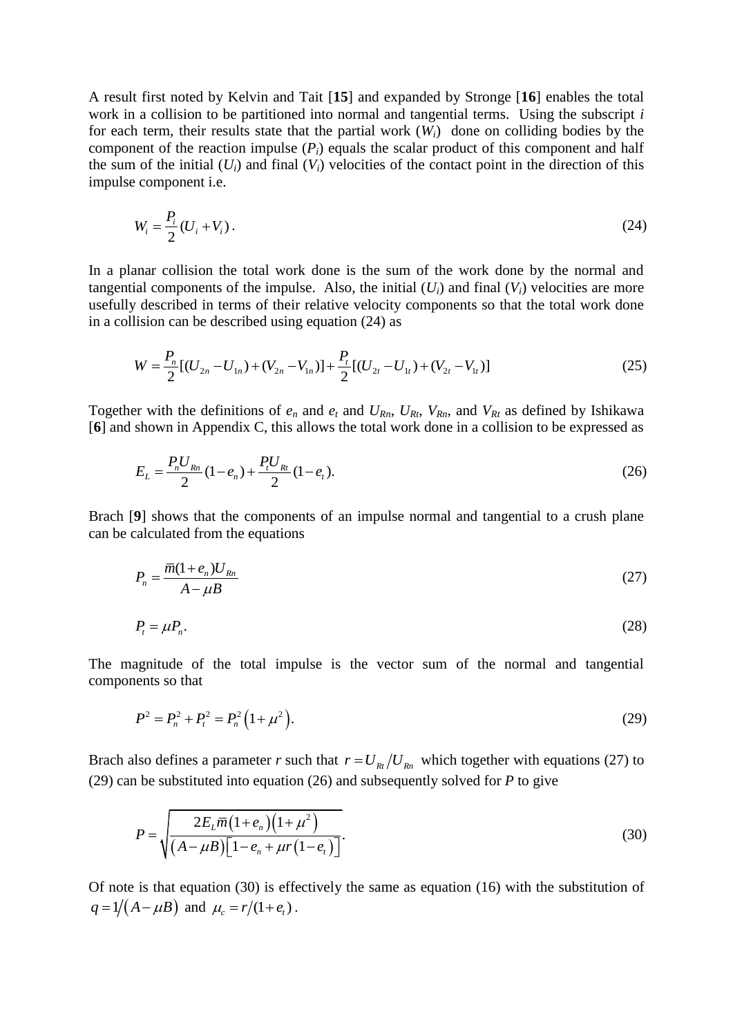A result first noted by Kelvin and Tait [**15**] and expanded by Stronge [**16**] enables the total work in a collision to be partitioned into normal and tangential terms. Using the subscript *i* for each term, their results state that the partial work  $(W_i)$  done on colliding bodies by the component of the reaction impulse  $(P_i)$  equals the scalar product of this component and half the sum of the initial  $(U_i)$  and final  $(V_i)$  velocities of the contact point in the direction of this impulse component i.e.

$$
W_i = \frac{P_i}{2} (U_i + V_i).
$$
 (24)

In a planar collision the total work done is the sum of the work done by the normal and tangential components of the impulse. Also, the initial  $(U_i)$  and final  $(V_i)$  velocities are more usefully described in terms of their relative velocity components so that the total work done

in a collision can be described using equation (24) as  
\n
$$
W = \frac{P_n}{2} [(U_{2n} - U_{1n}) + (V_{2n} - V_{1n})] + \frac{P_t}{2} [(U_{2t} - U_{1t}) + (V_{2t} - V_{1t})]
$$
\n(25)

Together with the definitions of  $e_n$  and  $e_t$  and  $U_{Rn}$ ,  $U_{Rt}$ ,  $V_{Rn}$ , and  $V_{Rt}$  as defined by Ishikawa [**6**] and shown in Appendix C, this allows the total work done in a collision to be expressed as

$$
E_{L} = \frac{P_{n}U_{Rn}}{2}(1 - e_{n}) + \frac{P_{t}U_{Rt}}{2}(1 - e_{t}).
$$
\n(26)

Brach [**9**] shows that the components of an impulse normal and tangential to a crush plane can be calculated from the equations

$$
P_n = \frac{\overline{m}(1 + e_n)U_{Rn}}{A - \mu B} \tag{27}
$$

$$
P_t = \mu P_n. \tag{28}
$$

The magnitude of the total impulse is the vector sum of the normal and tangential components so that

$$
P^2 = P_n^2 + P_t^2 = P_n^2 \left( 1 + \mu^2 \right). \tag{29}
$$

Brach also defines a parameter *r* such that  $r = U_{Rt}/U_{Rn}$  which together with equations (27) to (29) can be substituted into equation (26) and subsequently solved for *P* to give

$$
P = \sqrt{\frac{2E_L \overline{m}(1+e_n)(1+\mu^2)}{(A-\mu B)\left[1-e_n + \mu r(1-e_i)\right]}}.
$$
\n(30)

Of note is that equation (30) is effectively the same as equation (16) with the substitution of  $q = 1/(A - \mu B)$  and  $\mu_c = r/(1 + e_t)$ .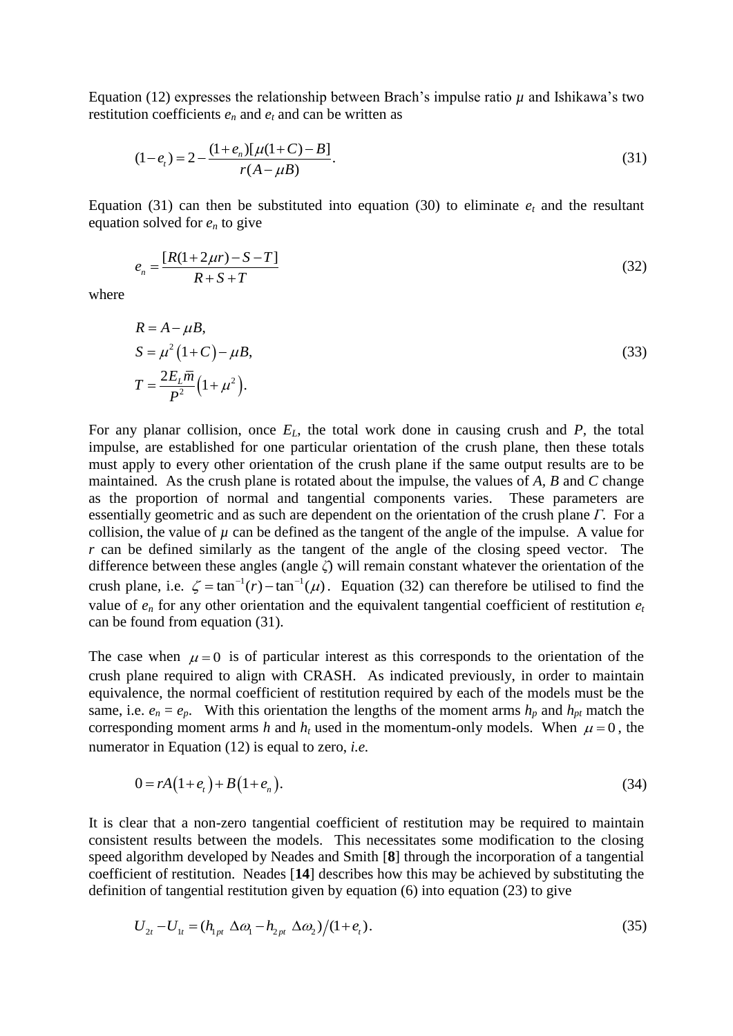Equation (12) expresses the relationship between Brach's impulse ratio  $\mu$  and Ishikawa's two restitution coefficients  $e_n$  and  $e_t$  and can be written as

$$
(1 - et) = 2 - \frac{(1 + en)[\mu(1 + C) - B]}{r(A - \mu B)}.
$$
\n(31)

Equation (31) can then be substituted into equation (30) to eliminate  $e_t$  and the resultant equation solved for  $e_n$  to give

$$
e_n = \frac{[R(1+2\mu r) - S - T]}{R + S + T}
$$
\n(32)

where

$$
R = A - \mu B,
$$
  
\n
$$
S = \mu^2 (1 + C) - \mu B,
$$
  
\n
$$
T = \frac{2E_L \overline{m}}{P^2} (1 + \mu^2).
$$
\n(33)

For any planar collision, once *EL*, the total work done in causing crush and *P,* the total impulse, are established for one particular orientation of the crush plane, then these totals must apply to every other orientation of the crush plane if the same output results are to be maintained. As the crush plane is rotated about the impulse, the values of *A, B* and *C* change as the proportion of normal and tangential components varies. These parameters are essentially geometric and as such are dependent on the orientation of the crush plane *Γ*. For a collision, the value of  $\mu$  can be defined as the tangent of the angle of the impulse. A value for *r* can be defined similarly as the tangent of the angle of the closing speed vector. The difference between these angles (angle *ζ*) will remain constant whatever the orientation of the crush plane, i.e.  $\zeta = \tan^{-1}(r) - \tan^{-1}(\mu)$ . Equation (32) can therefore be utilised to find the value of  $e_n$  for any other orientation and the equivalent tangential coefficient of restitution  $e_t$ can be found from equation (31).

The case when  $\mu = 0$  is of particular interest as this corresponds to the orientation of the crush plane required to align with CRASH. As indicated previously, in order to maintain equivalence, the normal coefficient of restitution required by each of the models must be the same, i.e.  $e_n = e_p$ . With this orientation the lengths of the moment arms  $h_p$  and  $h_{pt}$  match the corresponding moment arms *h* and  $h_t$  used in the momentum-only models. When  $\mu = 0$ , the numerator in Equation (12) is equal to zero, *i.e.*

$$
0 = rA(1 + e_t) + B(1 + e_n). \tag{34}
$$

It is clear that a non-zero tangential coefficient of restitution may be required to maintain consistent results between the models. This necessitates some modification to the closing speed algorithm developed by Neades and Smith [**8**] through the incorporation of a tangential coefficient of restitution. Neades [**14**] describes how this may be achieved by substituting the definition of tangential restitution given by equation (6) into equation (23) to give

$$
U_{2t} - U_{1t} = (h_{1pt} \Delta \omega_1 - h_{2pt} \Delta \omega_2)/(1 + e_t). \tag{35}
$$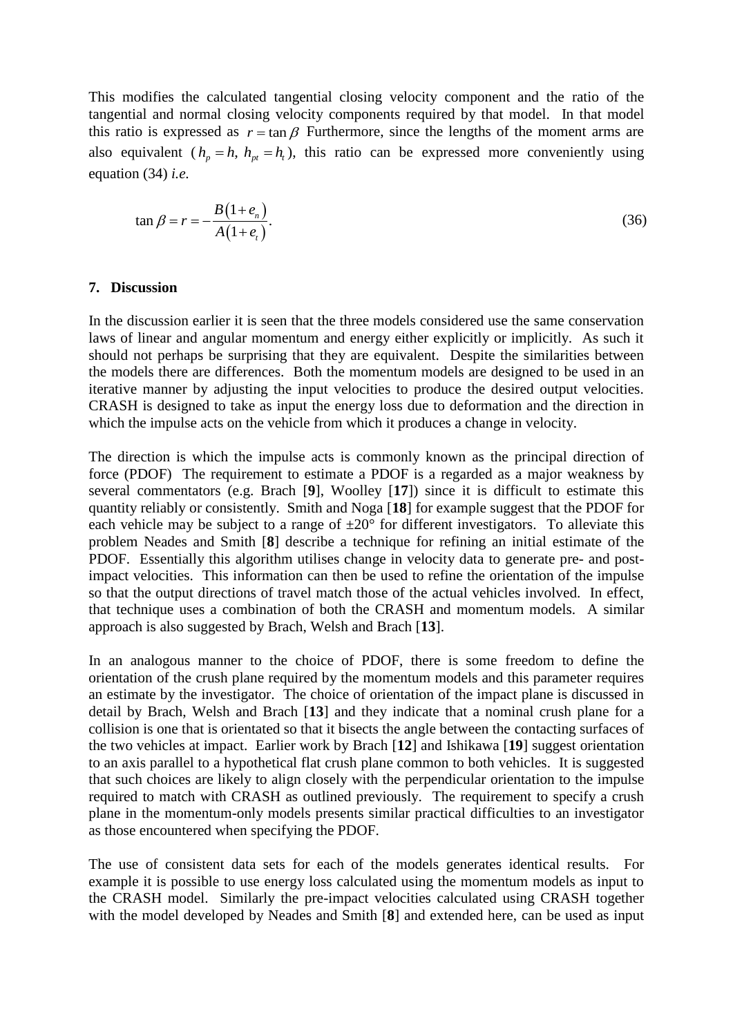This modifies the calculated tangential closing velocity component and the ratio of the tangential and normal closing velocity components required by that model. In that model this ratio is expressed as  $r = \tan \beta$  Furthermore, since the lengths of the moment arms are also equivalent  $(h_p = h, h_{pt} = h_t)$ , this ratio can be expressed more conveniently using equation (34) *i.e.*

$$
\tan \beta = r = -\frac{B(1+e_n)}{A(1+e_i)}.\tag{36}
$$

#### **7. Discussion**

In the discussion earlier it is seen that the three models considered use the same conservation laws of linear and angular momentum and energy either explicitly or implicitly. As such it should not perhaps be surprising that they are equivalent. Despite the similarities between the models there are differences. Both the momentum models are designed to be used in an iterative manner by adjusting the input velocities to produce the desired output velocities. CRASH is designed to take as input the energy loss due to deformation and the direction in which the impulse acts on the vehicle from which it produces a change in velocity.

The direction is which the impulse acts is commonly known as the principal direction of force (PDOF) The requirement to estimate a PDOF is a regarded as a major weakness by several commentators (e.g. Brach [**9**], Woolley [**17**]) since it is difficult to estimate this quantity reliably or consistently. Smith and Noga [**18**] for example suggest that the PDOF for each vehicle may be subject to a range of  $\pm 20^{\circ}$  for different investigators. To alleviate this problem Neades and Smith [**8**] describe a technique for refining an initial estimate of the PDOF. Essentially this algorithm utilises change in velocity data to generate pre- and postimpact velocities. This information can then be used to refine the orientation of the impulse so that the output directions of travel match those of the actual vehicles involved. In effect, that technique uses a combination of both the CRASH and momentum models. A similar approach is also suggested by Brach, Welsh and Brach [**13**].

In an analogous manner to the choice of PDOF, there is some freedom to define the orientation of the crush plane required by the momentum models and this parameter requires an estimate by the investigator. The choice of orientation of the impact plane is discussed in detail by Brach, Welsh and Brach [**13**] and they indicate that a nominal crush plane for a collision is one that is orientated so that it bisects the angle between the contacting surfaces of the two vehicles at impact. Earlier work by Brach [**12**] and Ishikawa [**19**] suggest orientation to an axis parallel to a hypothetical flat crush plane common to both vehicles. It is suggested that such choices are likely to align closely with the perpendicular orientation to the impulse required to match with CRASH as outlined previously. The requirement to specify a crush plane in the momentum-only models presents similar practical difficulties to an investigator as those encountered when specifying the PDOF.

The use of consistent data sets for each of the models generates identical results. For example it is possible to use energy loss calculated using the momentum models as input to the CRASH model. Similarly the pre-impact velocities calculated using CRASH together with the model developed by Neades and Smith [**8**] and extended here, can be used as input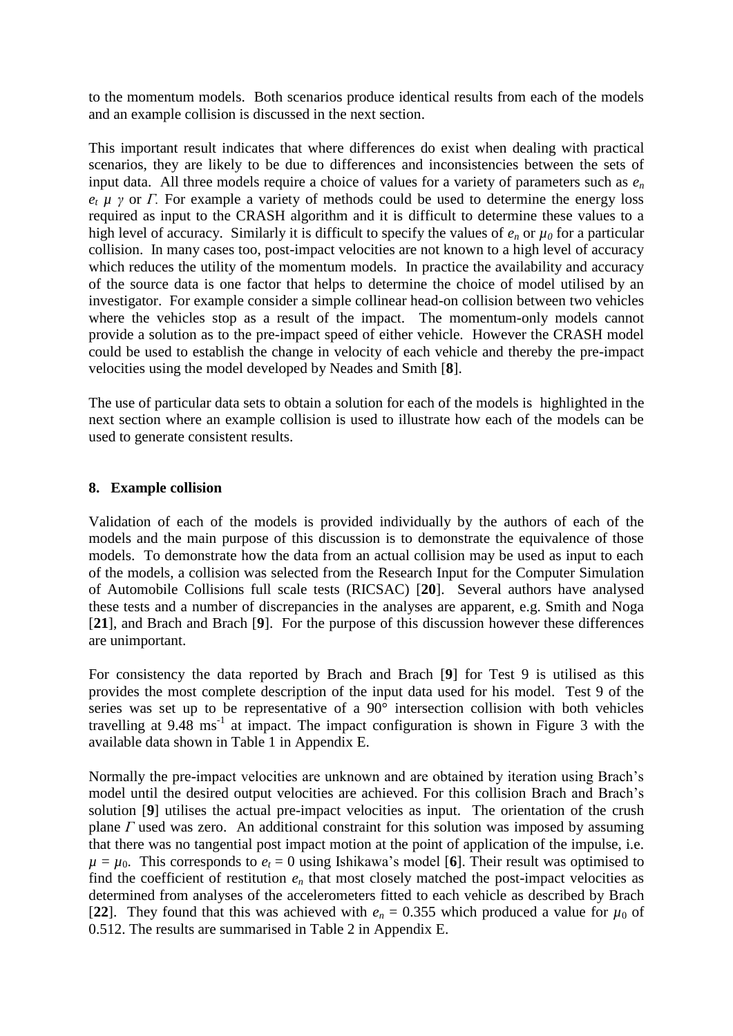to the momentum models. Both scenarios produce identical results from each of the models and an example collision is discussed in the next section.

This important result indicates that where differences do exist when dealing with practical scenarios, they are likely to be due to differences and inconsistencies between the sets of input data. All three models require a choice of values for a variety of parameters such as *e<sup>n</sup> e<sup>t</sup> µ γ* or *Γ.* For example a variety of methods could be used to determine the energy loss required as input to the CRASH algorithm and it is difficult to determine these values to a high level of accuracy. Similarly it is difficult to specify the values of  $e_n$  or  $\mu_0$  for a particular collision. In many cases too, post-impact velocities are not known to a high level of accuracy which reduces the utility of the momentum models. In practice the availability and accuracy of the source data is one factor that helps to determine the choice of model utilised by an investigator. For example consider a simple collinear head-on collision between two vehicles where the vehicles stop as a result of the impact. The momentum-only models cannot provide a solution as to the pre-impact speed of either vehicle. However the CRASH model could be used to establish the change in velocity of each vehicle and thereby the pre-impact velocities using the model developed by Neades and Smith [**8**].

The use of particular data sets to obtain a solution for each of the models is highlighted in the next section where an example collision is used to illustrate how each of the models can be used to generate consistent results.

## **8. Example collision**

Validation of each of the models is provided individually by the authors of each of the models and the main purpose of this discussion is to demonstrate the equivalence of those models. To demonstrate how the data from an actual collision may be used as input to each of the models, a collision was selected from the Research Input for the Computer Simulation of Automobile Collisions full scale tests (RICSAC) [**20**]. Several authors have analysed these tests and a number of discrepancies in the analyses are apparent, e.g. Smith and Noga [**21**], and Brach and Brach [**9**]. For the purpose of this discussion however these differences are unimportant.

For consistency the data reported by Brach and Brach [**9**] for Test 9 is utilised as this provides the most complete description of the input data used for his model. Test 9 of the series was set up to be representative of a  $90^{\circ}$  intersection collision with both vehicles travelling at  $9.48 \text{ ms}^{-1}$  at impact. The impact configuration is shown in Figure 3 with the available data shown in Table 1 in Appendix E.

Normally the pre-impact velocities are unknown and are obtained by iteration using Brach's model until the desired output velocities are achieved. For this collision Brach and Brach's solution [**9**] utilises the actual pre-impact velocities as input. The orientation of the crush plane *Γ* used was zero. An additional constraint for this solution was imposed by assuming that there was no tangential post impact motion at the point of application of the impulse, i.e.  $\mu = \mu_0$ . This corresponds to  $e_t = 0$  using Ishikawa's model [6]. Their result was optimised to find the coefficient of restitution  $e_n$  that most closely matched the post-impact velocities as determined from analyses of the accelerometers fitted to each vehicle as described by Brach [22]. They found that this was achieved with  $e_n = 0.355$  which produced a value for  $\mu_0$  of 0.512. The results are summarised in Table 2 in Appendix E.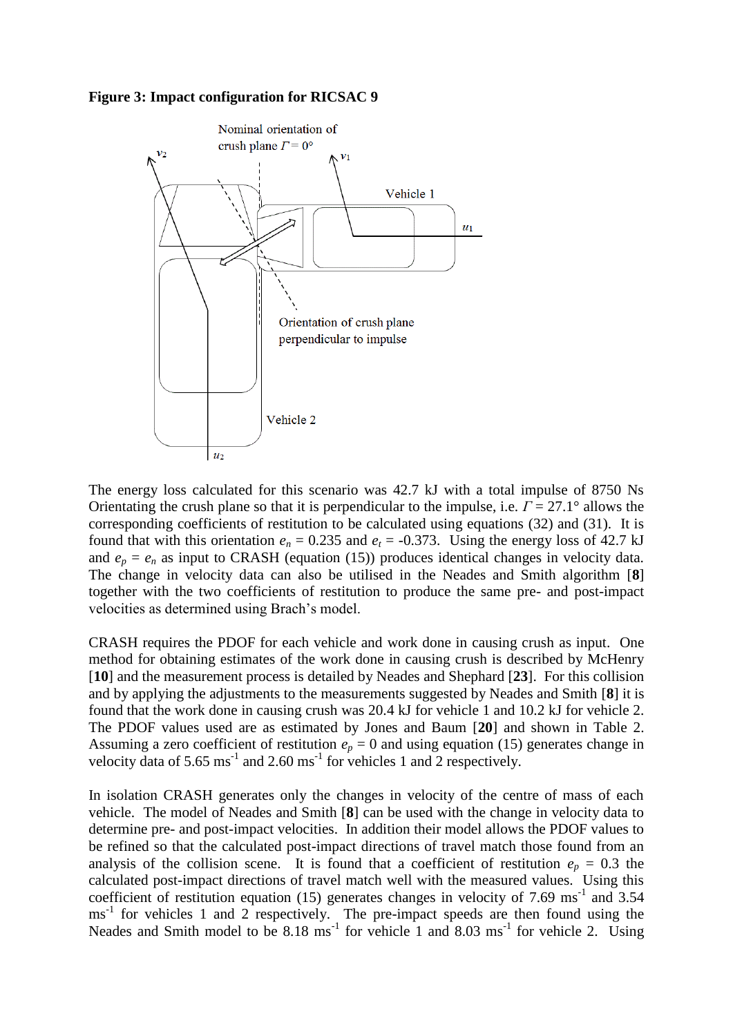#### **Figure 3: Impact configuration for RICSAC 9**



The energy loss calculated for this scenario was 42.7 kJ with a total impulse of 8750 Ns Orientating the crush plane so that it is perpendicular to the impulse, i.e. *Γ* = 27.1° allows the corresponding coefficients of restitution to be calculated using equations (32) and (31). It is found that with this orientation  $e_n = 0.235$  and  $e_t = -0.373$ . Using the energy loss of 42.7 kJ and  $e_p = e_n$  as input to CRASH (equation (15)) produces identical changes in velocity data. The change in velocity data can also be utilised in the Neades and Smith algorithm [**8**] together with the two coefficients of restitution to produce the same pre- and post-impact velocities as determined using Brach's model.

CRASH requires the PDOF for each vehicle and work done in causing crush as input. One method for obtaining estimates of the work done in causing crush is described by McHenry [**10**] and the measurement process is detailed by Neades and Shephard [**23**]. For this collision and by applying the adjustments to the measurements suggested by Neades and Smith [**8**] it is found that the work done in causing crush was 20.4 kJ for vehicle 1 and 10.2 kJ for vehicle 2. The PDOF values used are as estimated by Jones and Baum [**20**] and shown in Table 2. Assuming a zero coefficient of restitution  $e_p = 0$  and using equation (15) generates change in velocity data of 5.65  $\text{ms}^{-1}$  and 2.60  $\text{ms}^{-1}$  for vehicles 1 and 2 respectively.

In isolation CRASH generates only the changes in velocity of the centre of mass of each vehicle. The model of Neades and Smith [**8**] can be used with the change in velocity data to determine pre- and post-impact velocities. In addition their model allows the PDOF values to be refined so that the calculated post-impact directions of travel match those found from an analysis of the collision scene. It is found that a coefficient of restitution  $e_p = 0.3$  the calculated post-impact directions of travel match well with the measured values. Using this coefficient of restitution equation (15) generates changes in velocity of 7.69  $\text{ms}$ <sup>-1</sup> and 3.54 ms<sup>-1</sup> for vehicles 1 and 2 respectively. The pre-impact speeds are then found using the Neades and Smith model to be  $8.18 \text{ ms}^{-1}$  for vehicle 1 and  $8.03 \text{ ms}^{-1}$  for vehicle 2. Using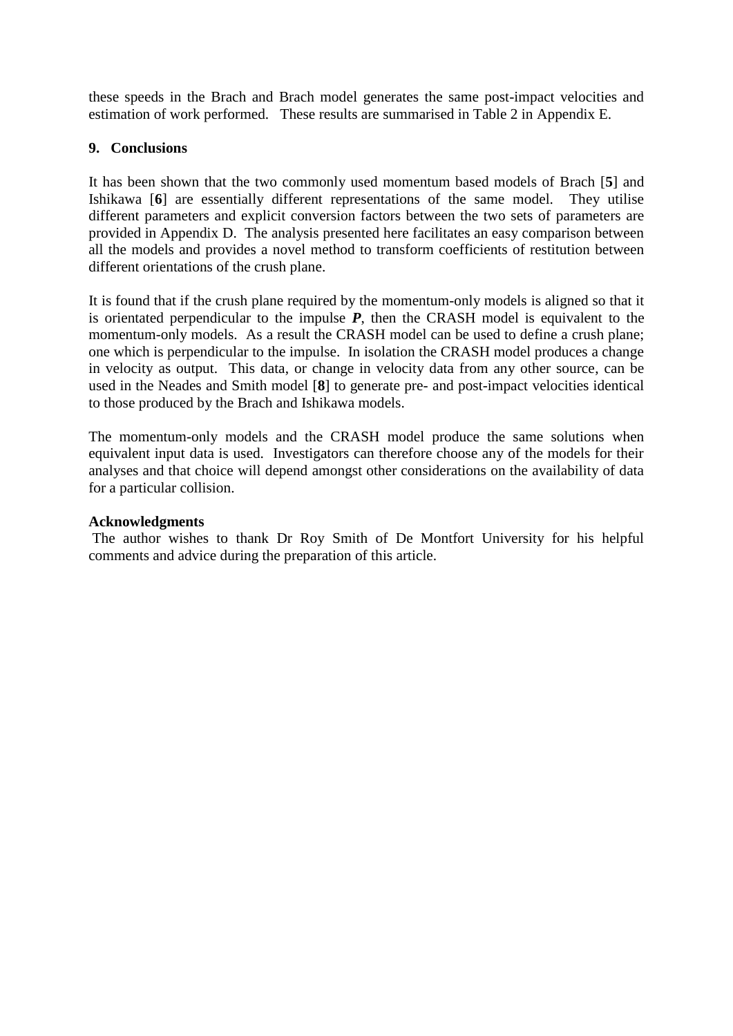these speeds in the Brach and Brach model generates the same post-impact velocities and estimation of work performed. These results are summarised in Table 2 in Appendix E.

## **9. Conclusions**

It has been shown that the two commonly used momentum based models of Brach [**5**] and Ishikawa [**6**] are essentially different representations of the same model. They utilise different parameters and explicit conversion factors between the two sets of parameters are provided in Appendix D. The analysis presented here facilitates an easy comparison between all the models and provides a novel method to transform coefficients of restitution between different orientations of the crush plane.

It is found that if the crush plane required by the momentum-only models is aligned so that it is orientated perpendicular to the impulse *P*, then the CRASH model is equivalent to the momentum-only models. As a result the CRASH model can be used to define a crush plane; one which is perpendicular to the impulse. In isolation the CRASH model produces a change in velocity as output. This data, or change in velocity data from any other source, can be used in the Neades and Smith model [**8**] to generate pre- and post-impact velocities identical to those produced by the Brach and Ishikawa models.

The momentum-only models and the CRASH model produce the same solutions when equivalent input data is used. Investigators can therefore choose any of the models for their analyses and that choice will depend amongst other considerations on the availability of data for a particular collision.

## **Acknowledgments**

The author wishes to thank Dr Roy Smith of De Montfort University for his helpful comments and advice during the preparation of this article.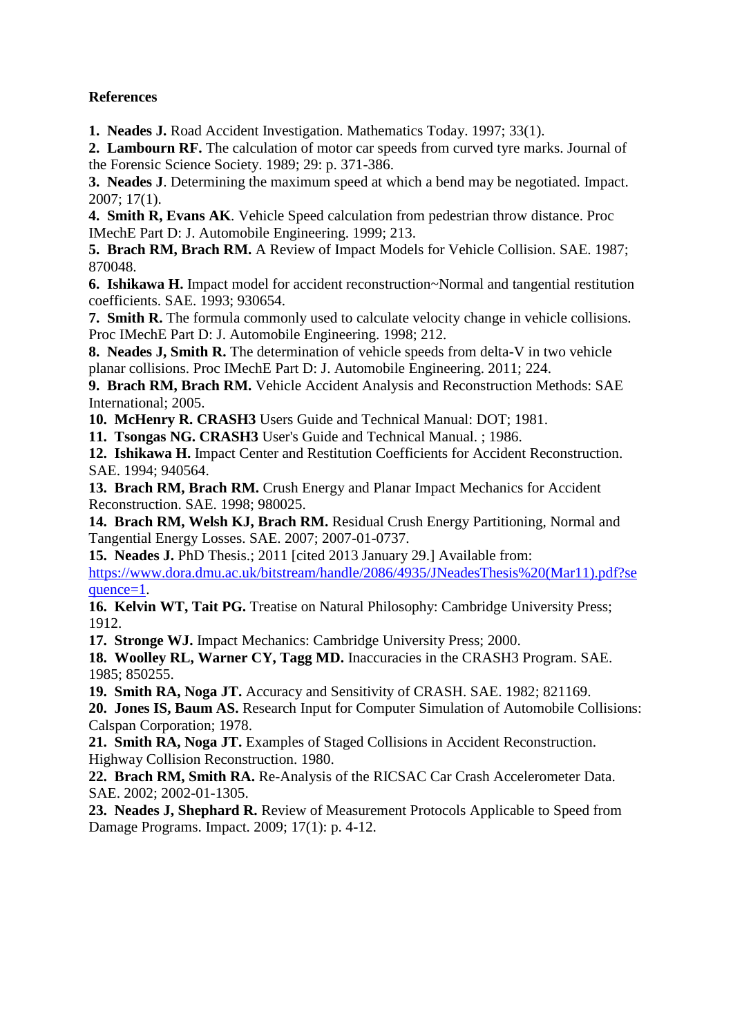## **References**

**1. Neades J.** Road Accident Investigation. Mathematics Today. 1997; 33(1).

**2. Lambourn RF.** The calculation of motor car speeds from curved tyre marks. Journal of the Forensic Science Society. 1989; 29: p. 371-386.

**3. Neades J**. Determining the maximum speed at which a bend may be negotiated. Impact. 2007; 17(1).

**4. Smith R, Evans AK**. Vehicle Speed calculation from pedestrian throw distance. Proc IMechE Part D: J. Automobile Engineering. 1999; 213.

**5. Brach RM, Brach RM.** A Review of Impact Models for Vehicle Collision. SAE. 1987; 870048.

**6. Ishikawa H.** Impact model for accident reconstruction~Normal and tangential restitution coefficients. SAE. 1993; 930654.

**7. Smith R.** The formula commonly used to calculate velocity change in vehicle collisions. Proc IMechE Part D: J. Automobile Engineering. 1998; 212.

**8. Neades J, Smith R.** The determination of vehicle speeds from delta-V in two vehicle planar collisions. Proc IMechE Part D: J. Automobile Engineering. 2011; 224.

**9. Brach RM, Brach RM.** Vehicle Accident Analysis and Reconstruction Methods: SAE International; 2005.

**10. McHenry R. CRASH3** Users Guide and Technical Manual: DOT; 1981.

**11. Tsongas NG. CRASH3** User's Guide and Technical Manual. ; 1986.

**12. Ishikawa H.** Impact Center and Restitution Coefficients for Accident Reconstruction. SAE. 1994; 940564.

**13. Brach RM, Brach RM.** Crush Energy and Planar Impact Mechanics for Accident Reconstruction. SAE. 1998; 980025.

**14. Brach RM, Welsh KJ, Brach RM.** Residual Crush Energy Partitioning, Normal and Tangential Energy Losses. SAE. 2007; 2007-01-0737.

**15. Neades J.** PhD Thesis.; 2011 [cited 2013 January 29.] Available from: [https://www.dora.dmu.ac.uk/bitstream/handle/2086/4935/JNeadesThesis%20\(Mar11\).pdf?se](https://www.dora.dmu.ac.uk/bitstream/handle/2086/4935/JNeadesThesis%20(Mar11).pdf?sequence=1) [quence=1.](https://www.dora.dmu.ac.uk/bitstream/handle/2086/4935/JNeadesThesis%20(Mar11).pdf?sequence=1)

16. Kelvin WT, Tait PG. Treatise on Natural Philosophy: Cambridge University Press; 1912.

**17. Stronge WJ.** Impact Mechanics: Cambridge University Press; 2000.

**18. Woolley RL, Warner CY, Tagg MD.** Inaccuracies in the CRASH3 Program. SAE. 1985; 850255.

**19. Smith RA, Noga JT.** Accuracy and Sensitivity of CRASH. SAE. 1982; 821169.

**20. Jones IS, Baum AS.** Research Input for Computer Simulation of Automobile Collisions: Calspan Corporation; 1978.

**21. Smith RA, Noga JT.** Examples of Staged Collisions in Accident Reconstruction. Highway Collision Reconstruction. 1980.

**22. Brach RM, Smith RA.** Re-Analysis of the RICSAC Car Crash Accelerometer Data. SAE. 2002; 2002-01-1305.

**23. Neades J, Shephard R.** Review of Measurement Protocols Applicable to Speed from Damage Programs. Impact. 2009; 17(1): p. 4-12.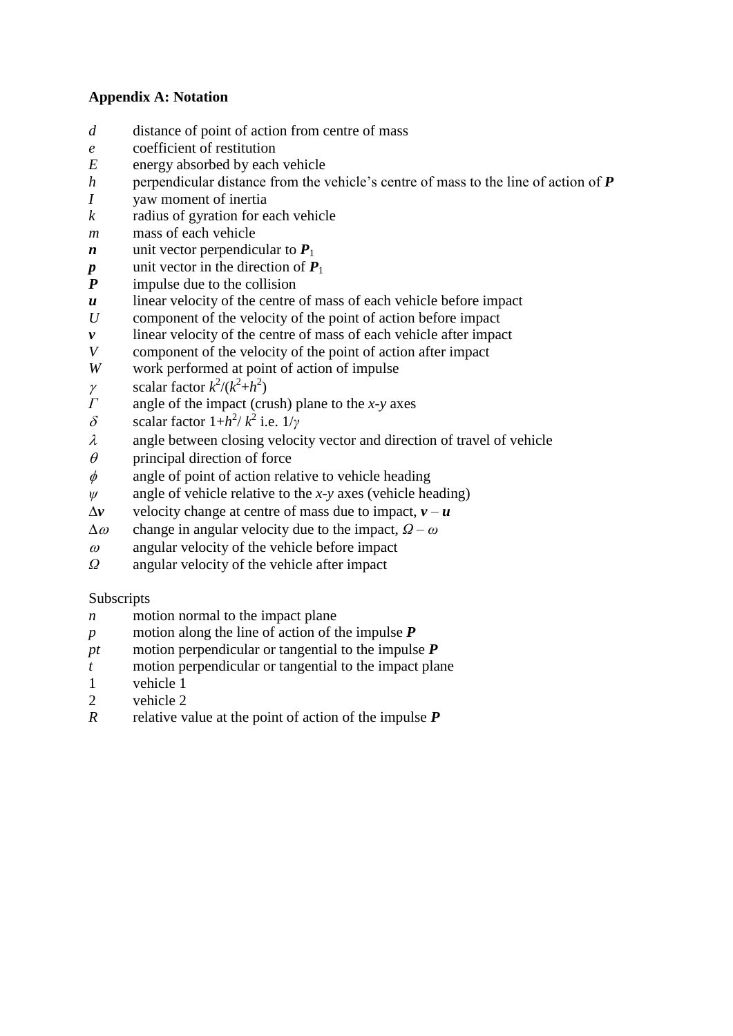## **Appendix A: Notation**

- *d* distance of point of action from centre of mass
- *e* coefficient of restitution
- *E* energy absorbed by each vehicle
- *h* perpendicular distance from the vehicle's centre of mass to the line of action of *P*
- *I* yaw moment of inertia
- *k* radius of gyration for each vehicle
- *m* mass of each vehicle
- *n* unit vector perpendicular to  $P_1$
- unit vector in the direction of  $P_1$
- *P* impulse due to the collision
- *u* linear velocity of the centre of mass of each vehicle before impact
- *U* component of the velocity of the point of action before impact
- *v* linear velocity of the centre of mass of each vehicle after impact
- *V* component of the velocity of the point of action after impact
- *W* work performed at point of action of impulse
- $\gamma$  scalar factor  $k^2/(k^2+h^2)$
- *Γ* angle of the impact (crush) plane to the *x-y* axes
- $δ$  scalar factor  $1+h^2/k^2$  i.e.  $1/\gamma$
- $\lambda$  angle between closing velocity vector and direction of travel of vehicle
- $\theta$  principal direction of force
- $\phi$  angle of point of action relative to vehicle heading
- *ψ* angle of vehicle relative to the *x-y* axes (vehicle heading)
- $\Delta v$  velocity change at centre of mass due to impact,  $v u$
- $\Delta \omega$  change in angular velocity due to the impact,  $\Omega \omega$
- $\omega$  angular velocity of the vehicle before impact
- *Ω* angular velocity of the vehicle after impact

## Subscripts

- *n* motion normal to the impact plane
- *p* motion along the line of action of the impulse *P*
- *pt* motion perpendicular or tangential to the impulse *P*
- *t* motion perpendicular or tangential to the impact plane
- 1 vehicle 1
- 2 vehicle 2
- *R* relative value at the point of action of the impulse *P*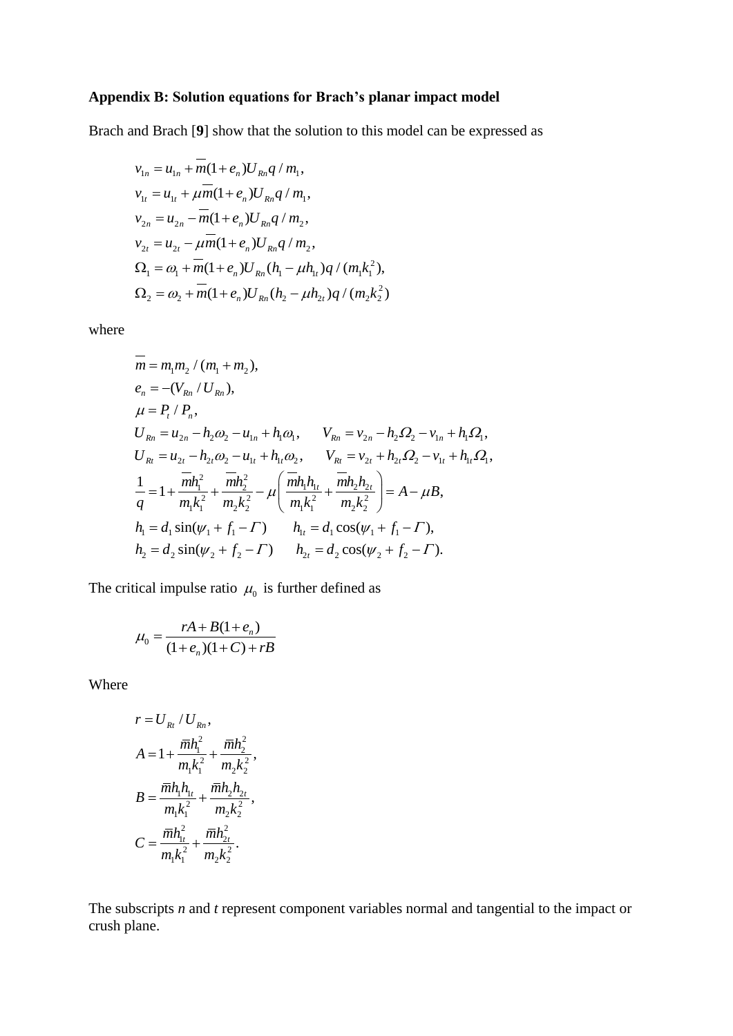## **Appendix B: Solution equations for Brach's planar impact model**

Brach and Brach [**9**] show that the solution to this model can be expressed as

$$
v_{1n} = u_{1n} + m(1 + e_n)U_{Rn}q/m_1,
$$
  
\n
$$
v_{1t} = u_{1t} + \mu m(1 + e_n)U_{Rn}q/m_1,
$$
  
\n
$$
v_{2n} = u_{2n} - m(1 + e_n)U_{Rn}q/m_2,
$$
  
\n
$$
v_{2t} = u_{2t} - \mu m(1 + e_n)U_{Rn}q/m_2,
$$
  
\n
$$
\Omega_1 = \omega_1 + m(1 + e_n)U_{Rn}(h_1 - \mu h_1)q/(m_1k_1^2),
$$
  
\n
$$
\Omega_2 = \omega_2 + m(1 + e_n)U_{Rn}(h_2 - \mu h_2)q/(m_2k_2^2)
$$

where

$$
\overline{m} = m_1 m_2 / (m_1 + m_2),
$$
\n
$$
e_n = -(V_{Rn} / U_{Rn}),
$$
\n
$$
\mu = P_t / P_n,
$$
\n
$$
U_{Rn} = u_{2n} - h_2 \omega_2 - u_{1n} + h_1 \omega_1, \qquad V_{Rn} = v_{2n} - h_2 \Omega_2 - v_{1n} + h_1 \Omega_1,
$$
\n
$$
U_{Rt} = u_{2t} - h_{2t} \omega_2 - u_{1t} + h_{1t} \omega_2, \qquad V_{Rt} = v_{2t} + h_{2t} \Omega_2 - v_{1t} + h_{1t} \Omega_1,
$$
\n
$$
\frac{1}{q} = 1 + \frac{\overline{m} h_1^2}{m_1 k_1^2} + \frac{\overline{m} h_2^2}{m_2 k_2^2} - \mu \left( \frac{\overline{m} h_1 h_{1t}}{m_1 k_1^2} + \frac{\overline{m} h_2 h_{2t}}{m_2 k_2^2} \right) = A - \mu B,
$$
\n
$$
h_1 = d_1 \sin(\psi_1 + f_1 - \Gamma) \qquad h_{1t} = d_1 \cos(\psi_1 + f_1 - \Gamma),
$$
\n
$$
h_2 = d_2 \sin(\psi_2 + f_2 - \Gamma) \qquad h_{2t} = d_2 \cos(\psi_2 + f_2 - \Gamma).
$$

The critical impulse ratio  $\mu_0$  is further defined as

$$
\mu_0 = \frac{rA + B(1 + e_n)}{(1 + e_n)(1 + C) + rB}
$$

Where

$$
r = U_{Rt} / U_{Rn},
$$
  
\n
$$
A = 1 + \frac{\overline{m}h_1^2}{m_1k_1^2} + \frac{\overline{m}h_2^2}{m_2k_2^2},
$$
  
\n
$$
B = \frac{\overline{m}h_1h_{1t}}{m_1k_1^2} + \frac{\overline{m}h_2h_{2t}}{m_2k_2^2},
$$
  
\n
$$
C = \frac{\overline{m}h_{1t}^2}{m_1k_1^2} + \frac{\overline{m}h_{2t}^2}{m_2k_2^2}.
$$

The subscripts *n* and *t* represent component variables normal and tangential to the impact or crush plane.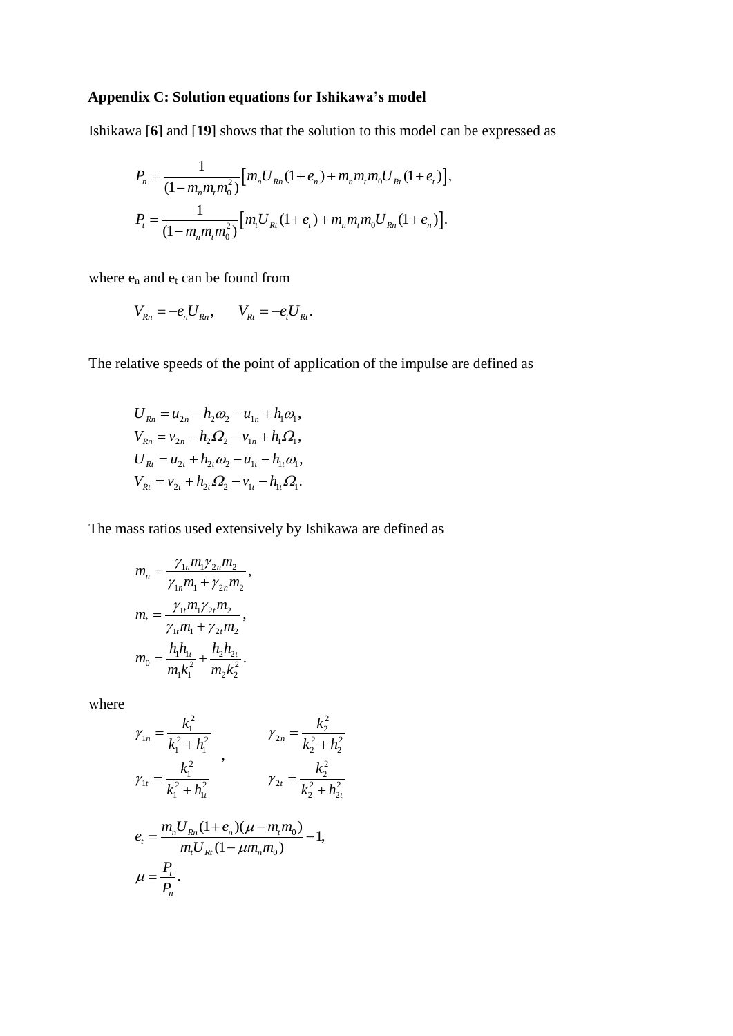## **Appendix C: Solution equations for Ishikawa's model**

Ishikawa [**6**] and [**19**] shows that the solution to this model can be expressed as

$$
P_n = \frac{1}{(1 - m_n m_t m_0^2)} [m_n U_{Rn} (1 + e_n) + m_n m_t m_0 U_{Rn} (1 + e_t)],
$$
  

$$
P_t = \frac{1}{(1 - m_n m_t m_0^2)} [m_t U_{Rn} (1 + e_t) + m_n m_t m_0 U_{Rn} (1 + e_n)].
$$

where  $\mathbf{e}_n$  and  $\mathbf{e}_t$  can be found from

$$
V_{Rn} = -e_n U_{Rn}, \qquad V_{Rt} = -e_t U_{Rt}.
$$

The relative speeds of the point of application of the impulse are defined as

$$
U_{Rn} = u_{2n} - h_2 \omega_2 - u_{1n} + h_1 \omega_1,
$$
  
\n
$$
V_{Rn} = v_{2n} - h_2 \Omega_2 - v_{1n} + h_1 \Omega_1,
$$
  
\n
$$
U_{Rt} = u_{2t} + h_{2t} \omega_2 - u_{1t} - h_{1t} \omega_1,
$$
  
\n
$$
V_{Rt} = v_{2t} + h_{2t} \Omega_2 - v_{1t} - h_{1t} \Omega_1.
$$

The mass ratios used extensively by Ishikawa are defined as

$$
m_n = \frac{\gamma_{1n} m_1 \gamma_{2n} m_2}{\gamma_{1n} m_1 + \gamma_{2n} m_2},
$$
  
\n
$$
m_t = \frac{\gamma_{1t} m_1 \gamma_{2t} m_2}{\gamma_{1t} m_1 + \gamma_{2t} m_2},
$$
  
\n
$$
m_0 = \frac{h_1 h_{1t}}{m_1 k_1^2} + \frac{h_2 h_{2t}}{m_2 k_2^2}.
$$

where

$$
\gamma_{1n} = \frac{k_1^2}{k_1^2 + h_1^2} \qquad \gamma_{2n} = \frac{k_2^2}{k_2^2 + h_2^2}
$$
  

$$
\gamma_{1t} = \frac{k_1^2}{k_1^2 + h_{1t}^2} \qquad \gamma_{2t} = \frac{k_2^2}{k_2^2 + h_{2t}^2}
$$
  

$$
e_t = \frac{m_n U_{Rn} (1 + e_n)(\mu - m_t m_0)}{m_t U_{Rt} (1 - \mu m_n m_0)} - 1,
$$
  

$$
\mu = \frac{P_t}{P_n}.
$$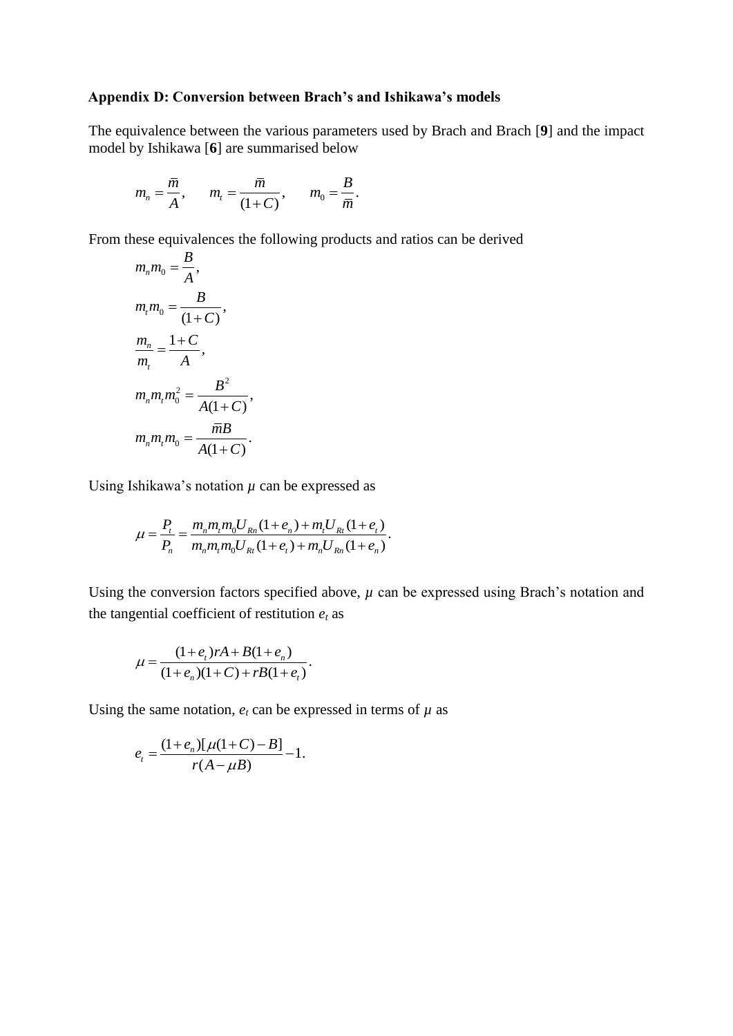### **Appendix D: Conversion between Brach's and Ishikawa's models**

The equivalence between the various parameters used by Brach and Brach [**9**] and the impact model by Ishikawa [**6**] are summarised below

$$
m_n = \frac{\overline{m}}{A}
$$
,  $m_t = \frac{\overline{m}}{(1+C)}$ ,  $m_0 = \frac{B}{\overline{m}}$ .

From these equivalences the following products and ratios can be derived *B*

$$
m_n m_0 = \frac{B}{A},
$$
  
\n
$$
m_i m_0 = \frac{B}{(1+C)},
$$
  
\n
$$
\frac{m_n}{m_i} = \frac{1+C}{A},
$$
  
\n
$$
m_n m_i m_0^2 = \frac{B^2}{A(1+C)},
$$
  
\n
$$
m_n m_i m_0 = \frac{\overline{m}B}{A(1+C)}.
$$

Using Ishikawa's notation  $\mu$  can be expressed as

$$
\mu = \frac{P_t}{P_n} = \frac{m_n m_t m_0 U_{Rn} (1 + e_n) + m_t U_{Rt} (1 + e_t)}{m_n m_t m_0 U_{Rt} (1 + e_t) + m_n U_{Rn} (1 + e_n)}.
$$

Using the conversion factors specified above,  $\mu$  can be expressed using Brach's notation and the tangential coefficient of restitution  $e_t$  as

$$
\mu = \frac{(1 + e_t)rA + B(1 + e_n)}{(1 + e_n)(1 + C) + rB(1 + e_t)}.
$$

Using the same notation,  $e_t$  can be expressed in terms of  $\mu$  as

$$
e_t = \frac{(1 + e_n)[\mu(1+C) - B]}{r(A - \mu B)} - 1.
$$